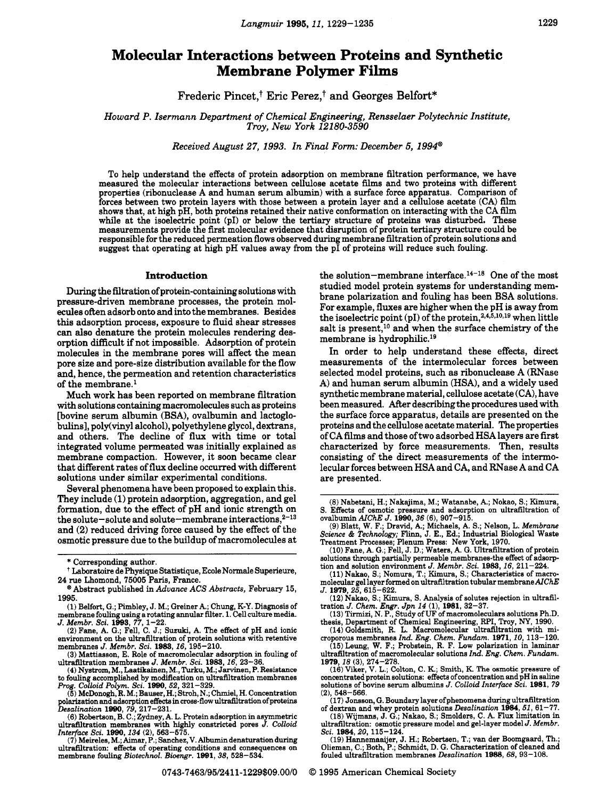# **Molecular Interactions between Proteins and Synthetic Membrane Polymer Films**

Frederic Pimet,+ Eric Perez,? and Georges **Belfort\*** 

*Howard P. Isermann Department of Chemical Engineering, Rensselaer Polytechnic Institute, Troy, New York 12180-3590* 

*Received August 27, 1993. In Final Form: December 5, 1994@* 

To help understand the effects of protein adsorption on membrane filtration performance, we have measured the molecular interactions between cellulose acetate films and two proteins with different properties (ribonuclease A and human serum albumin) with a surface force apparatus. Comparison of forces between two protein layers with those between a protein layer and a cellulose acetate (CA) film shows that, at high pH, both proteins retained their native conformation on interacting with the CA film while at the isoelectric point (pI) or below the tertiary structure of proteins was disturbed. These measurements provide the first molecular evidence that disruption of protein tertiary structure could be responsible for the reduced permeation flows observed during membrane filtration of protein solutions and suggest that operating at high pH values away from the pI of proteins will reduce such fouling.

### **Introduction**

During the filtration of protein-containing solutions with pressure-driven membrane processes, the protein molecules often adsorb onto and into the membranes. Besides this adsorption process, exposure to fluid shear stresses can also denature the protein molecules rendering desorption difficult if not impossible. Adsorption of protein molecules in the membrane pores will affect the mean pore size and pore-size distribution available for the flow and, hence, the permeation and retention characteristics of the membrane.'

Much work has been reported on membrane filtration with solutions containing macromolecules such **as** proteins [bovine serum albumin (BSA), ovalbumin and lactoglobulins], poly(viny1 alcohol), polyethylene glycol, dextrans, and others. The decline of flux with time or total integrated volume permeated was initially explained as membrane compaction. However, it soon became clear that different rates of flux decline occurred with different solutions under similar experimental conditions.

Several phenomena have been proposed to explain this. They include (1) protein adsorption, aggregation, and gel formation, due to the effect of pH and ionic strength on the solute-solute and solute-membrane interactions, $2^{-13}$ and **(2)** reduced driving force caused by the effect of the osmotic pressure due to the buildup of macromolecules at

\* Corresponding author.

Prog. Colloid Polym. Sci. 1990, 52, 321–329.<br>
(5) McDonogh, R. M.; Bauser, H.; Stroh, N.; Chmiel, H. Concentration<br>
polarization and adsorption effects in cross-flow ultrafiltration of proteins<br>
Desalination 1990, 79, 217

Interface Sci. 1990, 134 (2), 563-575.<br>
(7) Meireles, M.; Aimar, P.; Sanchez, V. Albumin denaturation during<br>
ultrafiltration: effects of operating conditions and consequences on<br>
membrane fouling *Biotechnol. Bioengr.* 19

the solution-membrane interface.14-18 One of the most studied model protein systems for understanding membrane polarization and fouling has been BSA solutions. For example, fluxes are higher when the pH is away from the isoelectric point (pI) of the protein,<sup>2,4,5,10,19</sup> when little salt is present,<sup>10</sup> and when the surface chemistry of the membrane is hydrophilic.<sup>19</sup>

In order to help understand these effects, direct measurements of the intermolecular forces between selected model proteins, such as ribonuclease A (RNase A) and human serum albumin (HSA), and a widely used synthetic membrane material, cellulose acetate (CA), have been measured. ARer describing the procedures used with the surface force apparatus, details are presented on the proteins and the cellulose acetate material. The properties of CA films and those of two adsorbed HSA layers are first characterized by force measurements. Then, results consisting of the direct measurements of the intermolecular forces between HSA and CA, and RNase A and CA are presented.

**(12)** Nakao. **S.;** Kimura, S. Analysis of solutes rejection in ultrafil-tration *J. Chem. Engr. Jpn* **14 (1),-1981, 32-37.** 

(13) Tirmizi, N. P., Study of UF of macromoleculars solutions Ph.D.<br>thesis, Department of Chemical Engineering, RPI, Troy, NY, 1990.<br>(14) Goldsmith, R. L. Macromolecular ultrafiltration with mi-

croporous membranes *Znd. Eng. Chem. Fundam.* **1971,10, 113-120.** 

**(15)Leung, W.** F.; Probstein, R. F. Low polarization in laminar ultrafiltration of macromolecular solutions *Id. Eng. Chem. Fundam.* 

**1979,18 (3), 274-278. (16)** Viker, **V.** L.; Colton, C. K.; Smith, K. **The osmotic** pressure of concentrated protein solutions: effects of concentration and pH in saline solutions of bovine semm albumins J. *Colloid Interface Sci.* **1981,** *<sup>79</sup>*

**(2), 548-566.**  of dextran and whey protein solutions *Desalination* **1984**, 51, 61-77.

**(18)** Wijmans, **J.** G.; Nakao, S.; Smolders, C. A. Flux limitation in ultrafiltration: osmotic pressure model and gel-layer model *J. Membr. Sci.* **1984,20, 115-124.** 

(19) Hannemaaijer, J. H.; Robertsen, T.; van der Boomgaard, Th.;<br>Olieman, C.; Both, P.; Schmidt, D. G. Characterization of cleaned and<br>fouled ultrafiltration membranes *Desalination* 1988, 68, 93–108.

**0743-746319512411-1229\$09.00/0** *0* **1995** American Chemical Society

Laboratoire de Physique Statistique, Ecole Normale Superieure, **24** rue Lhomond, **75005** Paris, France.

<sup>\*</sup>Abstract published in *Advance ACS Abstracts,* February **15, 1995.** 

**<sup>(1)</sup>** Belfort, G.; Pimbley, J. M.; Greiner *pi.;* Chung, K-Y. Diagnosis of membrane fouling using a rotating annular filter. 1. Cell culture media.<br>
J. Membr. Sci. 1993, 77, 1–22.<br>
(2) Fane, A. G.; Fell, C. J.; Suzuki, A. The effect of pH and ionic

environment on the ultrafiltration of protein solutions with retentive membranes *J. Membr. Sci.* **1983**, *16*, **195**–210. **(3)** Mattiasson, E. Role of macromolecular adsorption in fouling of

ultrafiltration membranes J. *Membr. Sci.* **1983, 16, 23-36. (4)** Nyst", M., Laatikainen, M., Turku, M.; Jarvinen, P. Resistance

to fouling accomplished by modification on ultrafiltration membranes

<sup>(8)</sup> Nabetani, H.; Nakajima, M.; Watanabe, A.; Nokao, S.; Kimura, S. Effects of osmotic pressure and adsorption on ultrafiltration of

S. Effects of osmourc pressure and allocate proposed in all containers of could<br>numinal AICRE J. 1990, 36 (6), 907-915.<br>(9) Blatt, W. F.; Dravid, A.; Michaels, A. S.; Nelson, L. Membrane<br>Science & Technology; Flinn, J. E.,

<sup>(10)</sup> Fane, A. G.; Fell, J. D.; Waters, A. G. Ultrafiltration of protein solutions through partially permeable membranes-the effect of adsorp-

tion and solution environment *J. Membr. Sci.* **1983**, *16*, 211-224. **(11)** Nakao, S.; Nomura, T.; Kimura, S.; Characteristics of macro-**(11)** Nakao, **S.;** Nomura, T.; Kimura, S.; Characteristics of macro- molecular gel layer formed on ultrafiltration tubular membrane *AIChE* 

J. **1979,25,615-622.**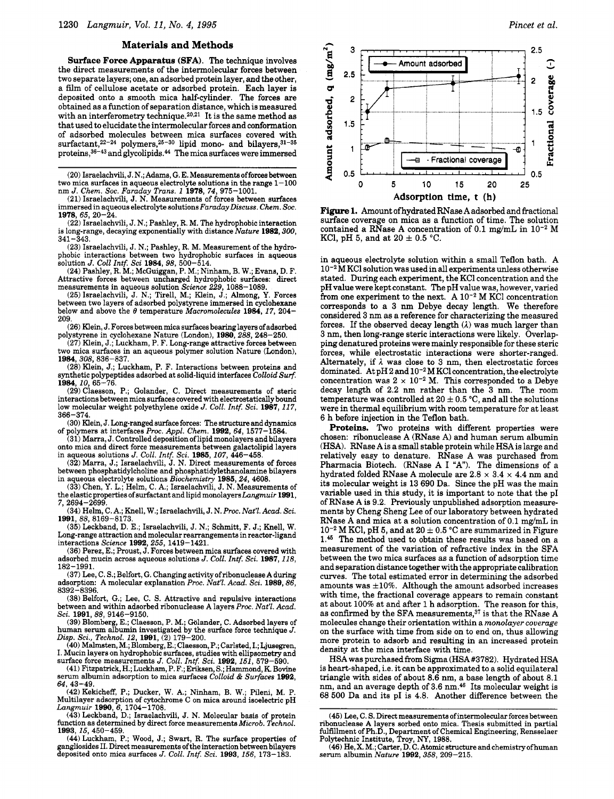#### **Materials and Methods**

**Surface Force Apparatus (SFA).** The technique involves the direct measurements of the intermolecular forces between two separate layers; one, an adsorbed protein layer, and the other, a film of cellulose acetate or adsorbed protein. Each layer is deposited onto a smooth mica half-cylinder. The forces are obtained as a function of separation distance, which is measured with an interferometry technique.<sup>20,21</sup> It is the same method as that used to elucidate the intermolecular forces and conformation of adsorbed molecules between mica surfaces covered with surfactant, $2^{2-24}$  polymers, $2^{5-30}$  lipid mono- and bilayers, $3^{1-35}$ proteins,<sup>36-43</sup> and glycolipids.<sup>44</sup> The mica surfaces were immersed

**(20)** Israelachvili, **J.** N.; Adams, G. E. **Measurementaofforcesbetween**  two mica surfaces in aqueous electrolyte solutions in the range 1-100 nm *J. Chem. Soc. Faraday Trans.* **1 1978**, 74, 975-1001.

**(21)** Israelachvili, **J.** N. Measurements of forces between surfaces immersed in aqueous electrolyte solutions Faraday Discuss. Chem. Soc. **1978,65,20-24.** 

**(22)** Israelachvili, **J. N.;** Pashley, R. M. The hydrophobic interaction is long-range, decaying exponentially with distance Nature **1982,300, 341 -343.** 

**(23)** Israelachvili, **J.** N.; Pashley, R. M. Measurement of the hydrophobic interactions between two hydrophobic surfaces in aqueous solution *J. Coll* Intf. Sci **1984, 98, 500-514.** 

**(24)** Pashley, **R.** M.; McGuiggan, P. M.; Ninham, B. W.; Evans, D. F. Attractive forces between uncharged hydrophobic surfaces: direct measurements in aqueous solution Science **229, 1088-1089.** 

**(25)** Israelachvili, **J.** N.; Tirell, M.; Klein, J.; Almong, **Y.** Forces below and above the  $\theta$  temperature Macromolecules 1984, 17, 204-**209.** 

**(26)** Klein, **J.** Forces between mica surfaces bearing layers of adsorbed polystyrene in cyclohexane Nature (London), **1980,288, 248-250.** 

**(27)** Klein, **J.;** Luckham, P. F. Long-range attractive forces between two mica surfaces in an aqueous polymer solution Nature (London), 1984, 308, 836-837

**(28)** Klein, **J.;** Luckham, P. F. Interactions between proteins and synthetic polypeptides adsorbed at solid-liquid interfaces Colloid *Surf.*  **1984,10,65-76.** 

**(29)** Claesson, P.; Golander, C. Direct measurements of steric interactions between mica surfaces covered with electrostatically bound low molecular weight polyethylene oxide *J. Coll. Intf. Sci.* 1987, 117, **366-374.** 

**(30)** Klein, **J.** Long-ranged surface forces: The structure and dynamics of polymers at interfaces Proc. *Appl.* Chem. **1992, 64, 1577-1584.** 

**(31)** Marra, **J.** Controlled deposition of lipid monolayers and bilayers onto mica and direct force measurements between galactolipid layers in aqueous solutions J. *Coll.* Intf. Sci. **1985, 107, 446-458. (32)** Marra, **J.;** Israelachvili, J. N. Direct measurements of forces

between phosphatidylcholine and phosphatidylethanolamine bilayers in aqueous electrolyte solutions Biochemistry **1986,24, 4608.** 

**(33)** Chen, **Y.** L.; Helm, C. **A.;** Israelachvili, J. N. Measurements of the elastic properties of surfactant and lipid monolayers Langmuir 1991, **7.2694-2699.** 

**(34)** Helm, C. **A.;** Knell, W.; Israelachvili, J. N. Proc. Nat'l. Acad. Sci. **1991,88,8169-8173.** 

**(35)** Leckband, D. **E.;** Israelachvili, J. N.; Schmitt, F. J.; Knell, W. Long-range attraction and molecular rearrangements in reactor-ligand interactions *Science* **1992**, 255, 1419-1421.

**(36)** Perez, E.; Proust, J. Forces between mica surfaces covered with adsorbed mucin across aqueous solutions J. Coll. Intf. Sci. 1987, 118, **182-1991.** 

**(37)** Lee, C. **S.;** Belfort, G. Changingactivity ofribonuclease Aduring adsorption: A molecular explanation Proc. Nat'l. Acad. Sci. 1989, 86, **8392-8396.** 

**(38)** Belfort, **G.;** Lee, C. S. Attractive and repulsive interactions between and within adsorbed ribonuclease **A** layers Proc. Nat'l. Acad.

Sci. **1991**, 88, 9146–9150.<br>
(39) Blomberg, E.; Claesson, P. M.; Gölander, C. Adsorbed layers of human serum albumin investigated by the surface force technique *J*. Disp. Sci., Technol. **12, 1991, (2) 179-200.** 

**(40)** Malmsten, M.; Blomberg, E.; Claesson, P.; Carlsted, I.; Ljusegren, I. Mucin layers on hydrophobic surfaces, studies with ellipsometry and surface force measurements *J. Coll. Intf. Sci.* **1992**, 151, 579-590.

**(41)** Fitzpatrick, **H.;** Luckham, P. F.; Eriksen, S.; Hammond, K. Bovine serum albumin adsorption to mica surfaces Colloid & Surfaces 1992,

**(42)** Kekicheff, P.; Ducker, W. A.; Ninham, B. W.; Pileni, M. P. **64, 43-49.**  Multilayer adsorption of cytochrome C on mica around isoelectric pH Langmuir **1990,6, 1704-1708.** 

**(43)** Leckband, D.; Israelachvili, J. N. Molecular basis of protein function as determined by direct force measurements Microb. Technol. function as determined by direct force measurements *Microb. Technol.*<br>1**993**, 15, 450–459.

**(44)** Luckham, P.; Wood, J.; Swart, R. The surface properties of gangliosides II. Direct measurements of the interaction between bilayers deposited onto mica surfaces *J. Coll. Intf. Sci.* **1993**, *156*, 173-183.



**Figure 1.** Amount ofhydrated RNase **A** adsorbed and fractional surface coverage on mica as a function of time. The solution contained a RNase A concentration of  $0.1$  mg/mL in  $10^{-2}$  M KCl, pH 5, and at  $20 \pm 0.5$  °C.

in aqueous electrolyte solution within a small Teflon bath. **A**  M KCl solution was used in **all** experiments unless otherwise stated. During each experiment, the KCl concentration and the pH value were kept constant. The pH value was, however, varied from one experiment to the next. A 10<sup>-2</sup> M KCl concentration corresponds to a **3** nm Debye decay length. We therefore considered **3** nm as a reference for characterizing the measured forces. If the observed decay length *(A)* was much larger than **3** nm, then long-range steric interactions were likely. Overlapping denatured proteins were mainly responsible for these steric forces, while electrostatic interactions were shorter-ranged. Alternately, if  $\lambda$  was close to 3 nm, then electrostatic forces dominated. At pH **2** and **10-2** M KC1 concentration, the electrolyte concentration was  $2 \times 10^{-2}$  M. This corresponded to a Debye decay length of **2.2** nm rather than the **3** nm. The room temperature was controlled at  $20 \pm 0.5$  °C, and all the solutions were in thermal equilibrium with room temperature for at least **6** h before injection in the Teflon bath.

**Proteins.** Two proteins with different properties were chosen: ribonuclease **A** (RNase **A)** and human serum albumin **(HSA).** RNase **A** is a small stable protein while **HSA** is large and relatively easy to denature. RNase **A** was purchased from Pharmacia Biotech. (RNase **A** I **"A").** The dimensions of a hydrated folded RNase **A** molecule are **2.8 x 3.4** x **4.4** nm and its molecular weight is **13 690** Da. Since the pH was the main variable used in this study, it is important to note that the pI of RNase **A** is **9.2.** Previously unpublished adsorption measurementa by Cheng Sheng Lee of our laboratory between hydrated RNase **A** and mica at a solution concentration of 0.1 mg/mL in  $10^{-2}$  M KCl, pH 5, and at  $20 \pm 0.5$  °C are summarized in Figure **1.&** The method used to obtain these results was based on a measurement of the variation of refractive index in the **SFA**  between the two mica surfaces as a function of adsorption time and separation distance together with the appropriate calibration curves. The total estimated error in determining the adsorbed amounts was **\*lo%.** AIthough the amount adsorbed increases with time, the fractional coverage appears to remain constant at about **100%** at and aRer **1** h adsorption. The reason for this, as confirmed by the **SFA** measurement^,^' is that the RNase **A**  molecules change their orientation within a monolayer coverage on the surface with time from side on to end on, thus allowing more protein to adsorb and resulting in an increased protein density at the mica interface with time.

**HSA** was purchased from Sigma **(HSA#3782).** Hydrated HSA is heart-shaped, i.e. it can be approximated to a solid equilateral triangle with sides of about 8.6 nm, a base length of about **8.1**  nm, and an average depth of **3.6** nm.46 Its molecular weight is 68 500 Da and its PI is **4.8.** Another difference between the

**<sup>(45)</sup>** Lee, C. **S.** Direct measurements ofintermolecular forces between ribonuclease A layers sorbed onto mica. Thesis submitted in partial<br>fulfillment of Ph.D., Department of Chemical Engineering, Rensselaer<br>Polytechnic Institute, Troy, NY, 1988.<br>(46) He, X. M.; Carter, D. C. Atomic structure

serum albumin Nature **1992,358,209-215.**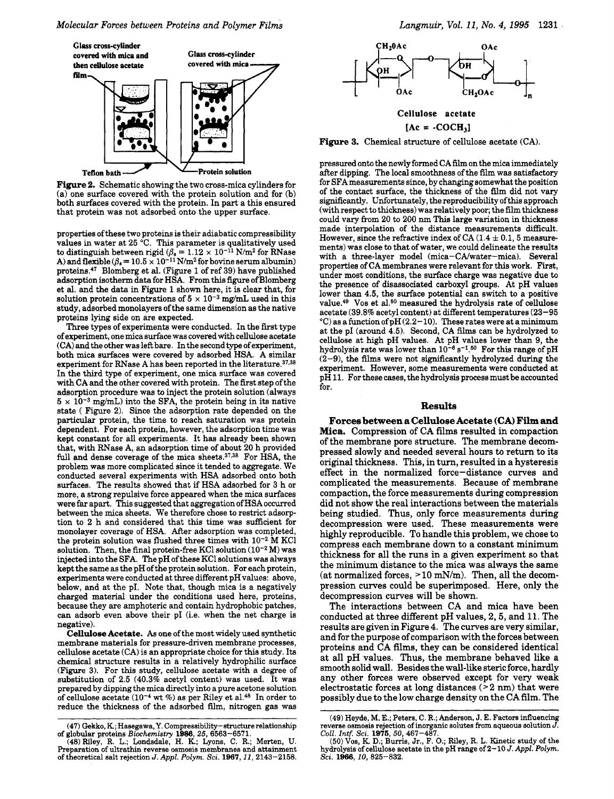

(a) one surface covered with the protein solution and for (b) both surfaces covered with the protein. In part a this ensured that protein was not adsorbed onto the upper surface.

properties ofthese two proteins is their adiabatic compressibility values in water at **25** "C. **This** parameter is qualitatively used to distinguish between rigid  $(\beta_s = 1.12 \times 10^{-11} \text{ N/m}^2 \text{ for RNase})$ A) and flexible  $(\beta_s = 10.5 \times 10^{-11} \text{ N/m}^2 \text{ for bovine serum albumin})$ proteins.\*T Blomberg et al. (Figure 1 of ref **39)** have published adsorption isotherm data for HSA. From this figure of Blomberg et al. and the data in Figure 1 shown here, it is clear that, for solution protein concentrations of  $5 \times 10^{-3}$  mg/mL used in this study, adsorbed monolayers of the same dimension as the native proteins lying side on are expected.

Three types of experiments were conducted. In the first type of experiment, one mica surface was covered with cellulose acetate (CA) and the other was left bare. In the second type of experiment, both mica surfaces were covered by adsorbed HSA. A similar experiment for RNase A has been reported in the literature. $37,38$ In the third type of experiment, one mica surface was covered with CA and the other covered with protein. The first step of the adsorption procedure was to inject the protein solution (always  $5 \times 10^{-3}$  mg/mL) into the SFA, the protein being in its native state ( Figure **2).** Since the adsorption rate depended on the particular protein, the time to reach saturation was protein dependent. For each protein, however, the adsorption time was kept constant for all experiments. It has already been shown that, with RNase A, an adsorption time of about **20** h provided full and dense coverage of the mica sheets. $37,38$  For HSA, the problem was more complicated since it tended to aggregate. We conducted several experiments with HSA adsorbed onto both surfaces. The results showed that if HSA adsorbed for **3** h or more, a strong repulsive force appeared when the mica surfaces were far apart. This suggested that aggregation of HSA occurred between the mica sheets. We therefore chose to restrict adsorption to **2** h and considered that this time was sufficient for monolayer coverage of HSA. After adsorption was completed, the protein solution was flushed three times with  $10^{-2}$  M KCl solution. Then, the final protein-free KCl solution  $(10^{-2} M)$  was injected into the SFA. The pH of these KC1 solutions was always kept the same as the pH of the protein solution. For each protein, experiments were conducted at three different pH values: above, below, and at the pI. Note that, though mica is a negatively charged material under the conditions used here, proteins, because they are amphoteric and contain hydrophobic patches, can adsorb even above their pI (i.e. when the net charge is negative).

**Cellulose Acetate.** *As* one of the most widely used synthetic membrane materials for pressure-driven membrane processes, cellulose acetate (CA) is an appropriate choice for this study. Its chemical structure results in a relatively hydrophilic surface (Figure **3).** For this study, cellulose acetate with a degree of substitution of **2.5 (40.3%** acetyl content) was used. It was prepared by dipping the mica directly into a pure acetone solution of cellulose acetate **(10-4 wt** %) as per Riley et al.48 In order to reduce the thickness of the adsorbed film, nitrogen gas was



Figure 3. Chemical structure of cellulose acetate (CA).

pressured onto the newly formed CA fdm on the mica immediately after dipping. The local smoothness of the film was satisfactory for SFA measurements since, by changing somewhat the position of the contact surface, the thickness of the film did not vary significantly. Unfortunately, the reproducibility of this approach (with respect to thickness) was relatively poor; the film thickness could vary from 20 to **200** nm **This** large variation in thickness made interpolation of the distance measurements difficult. However, since the refractive index of CA  $(1.4 \pm 0.1, 5 \text{ measure}$ ments) was close to that of water, we could delineate the results with a three-layer model (mica-CMwater-mica). Several properties of CA membranes were relevant for this work. First, under most conditions, the surface charge was negative due to the presence of disassociated carboxyl groups. At pH values lower than **4.5,** the surface potential can switch to a positive value.<sup>49</sup> Vos et al.<sup>50</sup> measured the hydrolysis rate of cellulose acetate **(39.8%** acetyl content) at different temperatures **(23-95**   $^{\circ}$ C) as a function of pH(2.2-10). These rates were at a minimum at the PI (around **4.5).** Second, CA films can be hydrolyzed to cellulose at high pH values. At pH values lower than 9, the hydrolysis rate was lower than  $10^{-6}$  s<sup>-1.50</sup> For this range of pH **(2-91,** the films were not significantly hydrolyzed during the experiment. However, some measurements were conducted at pH **11.** For these cases, the hydrolysis process must be accounted for.

#### **Results**

**Forces between a Cellulose Acetate (CAI Film and Mica.** Compression of CA films resulted in compaction of the membrane pore structure. The membrane decompressed slowly and needed several hours to return to its original thickness. This, in turn, resulted in a hysteresis effect in the normalized force-distance curves and complicated the measurements. Because of membrane compaction, the force measurements during compression did not show the real interactions between the materials being studied. Thus, only force measurements during decompression were used. These measurements were highly reproducible. To handle this problem, we chose to compress each membrane down to a constant minimum thickness for all the runs in a given experiment so that the minimum distance to the mica was always the same (at normalized forces,  $>10$  mN/m). Then, all the decompression curves could be superimposed. Here, only the decompression curves will be shown.

The interactions between CA and mica have been conducted at three different pH values, 2,5, and 11. The results are given in Figure **4.** The curves are very similar, and for the purpose of comparison with the forces between proteins and CA films, they can be considered identical at all pH values. Thus, the membrane behaved like a smooth solid wall. Besides the wall-like steric force, hardly any other forces were observed except for very weak electrostatic forces at long distances  $(>2$  nm) that were possibly due to the low charge density on the CA film. The

**<sup>(47)</sup> Gekko, R;** Hasegawa,Y. Compressibility-structure relationship of globular proteins *Biochemistry* **1986,25, 6563-6571.** 

**<sup>(48)</sup>** Riley, R. **L.;** Landsdale, H. K.; Lyons, C. R.; Merten, U. Preparation of ultrathin reverse osmosis membranes and attainment of theoretical salt rejection J. Appl. *Polym. Sei.* **1967,11, 2143-2158.** 

**<sup>(49)</sup>** Heyde, M. **E.;** Peters, C. R.; Anderson, J. E. Factors influencing reverse osmosis rejection of inorganic solutes from aqueous solution *J. COX Intf. Sci.* **1975, 50, 461-487.** 

**<sup>(50)</sup>** Vos, **K. D.; Bums,** Jr., F. 0.; Riley, R. L. Kinetic study of the hydrolysis of cellulose acetate in the pH range of **2-10** J. *Appl. Polym. Sci.* **1966,10,825-832.**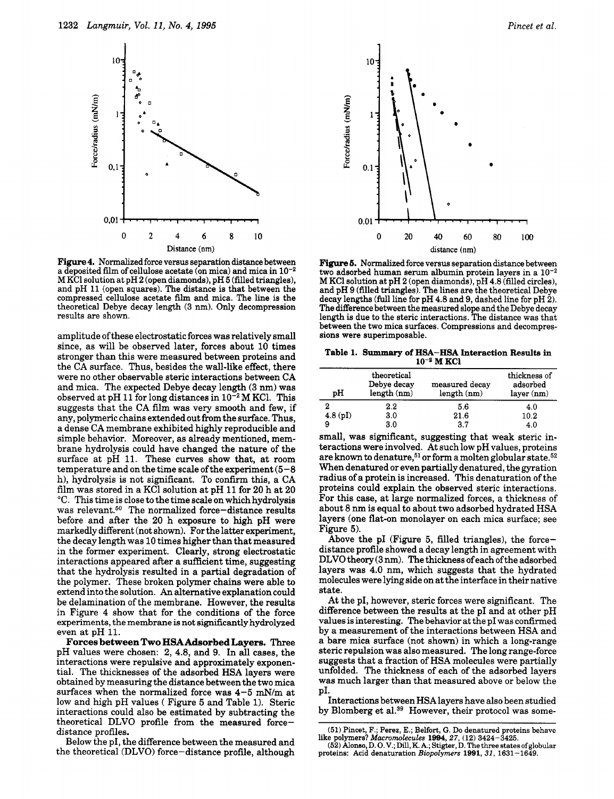

**Figure 4.** Normalized force versus separation distance between a deposited film of cellulose acetate (on mica) and mica in  $10^{-2}$ **<sup>M</sup>**KC1 solution at pH **2** (open diamonds), pH **5** (filled triangles), and pH **11** (open squares). The distance is that between the compressed cellulose acetate film and mica. The line is the theoretical Debye decay length **(3** nm). Only decompression results are shown.

amplitude of these electrostatic forces was relatively small since, as will be observed later, forces about **10** times stronger than this were measured between proteins and the CA surface. Thus, besides the wall-like effect, there were no other observable steric interactions between CA and mica. The expected Debye decay length **(3** nm) was observed at pH 11 for long distances in  $10^{-2}$  M KCl. This suggests that the CA film was very smooth and few, if any, polymeric chains extended out from the surface. Thus, a dense CA membrane exhibited highly reproducible and simple behavior. Moreover, as already mentioned, membrane hydrolysis could have changed the nature of the surface at pH **11.** These curves show that, at room temperature and on the time scale of the experiment **(5-8**  h), hydrolysis is not significant. To confirm this, a CA film was stored in a KC1 solution at pH **11** for **20** h at **20**  "C. This time is close to the time scale on which hydrolysis was relevant. $50$  The normalized force-distance results before and after the **20** h exposure to high pH were markedly different (not shown). For the latter experiment, the decay length was **10** times higher than that measured in the former experiment. Clearly, strong electrostatic interactions appeared after a sufficient time, suggesting that the hydrolysis resulted in a partial degradation of the polymer. These broken polymer chains were able to extend into the solution. **An** alternative explanation could be delamination of the membrane. However, the results in Figure **4** show that for the conditions of the force experiments, the membrane is not significantly hydrolyzed even at pH **11.** 

**Forces between** *'.bo* **HSAAdsorbed Layers.** Three pH values were chosen: **2,** 4.8, and **9.** In all cases, the interactions were repulsive and approximately exponential. The thicknesses of the adsorbed HSA layers were obtained by measuring the distance between the two mica surfaces when the normalized force was **4-5** mN/m at low and high pH values ( Figure **5** and Table 1). Steric interactions could also be estimated by subtracting the theoretical DLVO profile from the measured forcedistance profiles.

Below the PI, the difference between the measured and the theoretical (DLVO) force-distance profile, although



**Figure 5.** Normalized force versus separation distance between two adsorbed human serum albumin protein layers in a  $10^{-2}$ <br>M KCl solution at pH 2 (open diamonds), pH 4.8 (filled circles), and pH 9 (filled triangles). The lines are the theoretical Debye decay lengths (full line for pH 4.8 and 9, dashed line for pH 2). The difference between the measured slope and the Debye decay length is due to the steric interactions. The distance was that between the two mica surfaces. Compressions and decompres- sions were superimposable.

**Table 1.** *Summary* **of HSA-€€SA Interaction Results in**   $10^{-2}$  **M KCl** 

| pН      | theoretical<br>Debye decay<br>length (nm) | measured decay<br>length (nm) | thickness of<br>adsorbed<br>$layer$ (nm) |
|---------|-------------------------------------------|-------------------------------|------------------------------------------|
|         | $2.2\,$                                   | 5.6                           | 4.0                                      |
| 4.8(pI) | 3.0                                       | 21.6                          | 10.2                                     |
|         | 3.0                                       | 3.7                           | 4.0                                      |

small, was significant, suggesting that weak steric interactions were involved. At such low pH values, proteins are known to denature,<sup>51</sup> or form a molten globular state.<sup>52</sup> When denatured or even partially denatured, the gyration radius of a protein is increased. This denaturation of the proteins could explain the observed steric interactions. For this case, at large normalized forces, a thickness of about 8 nm is equal to about two adsorbed hydrated HSA layers (one flat-on monolayer on each mica surface; see Figure *5).* 

Above the pI (Figure 5, filled triangles), the forcedistance profile showed a decay length in agreement with DLVO theory **(3** nm). The thickness of each of the adsorbed layers was 4.0 nm, which suggests that the hydrated molecules were lying side on at the interface in their native state.

At the PI, however, steric forces were significant. The difference between the results at the pI and at other pH values is interesting. The behavior at the pI was confirmed by a measurement of the interactions between HSA and a bare mica surface (not shown) in which a long-range steric repulsion was also measured. The long range-force suggests that a fraction of **HSA** molecules were partially unfolded. The thickness of each of the adsorbed layers was much larger than that measured above or below the PI.

Interactions between HSAlayers have also been studied by Blomberg et al.<sup>39</sup> However, their protocol was some-

**<sup>(51)</sup>** F'incet, F.; Perez, E.; Belfort, *G.* **Do** denatured proteins behave like polymers? *Macromolecules* **1994**, 27, (12) 3424-3425. **(52) Alonso,D.O.V.; Dill, K.A.; Stigter,D. The three states of globular** 

proteins: Acid denaturation *Biopolymers* **1991,** *31,* **1631-1649.**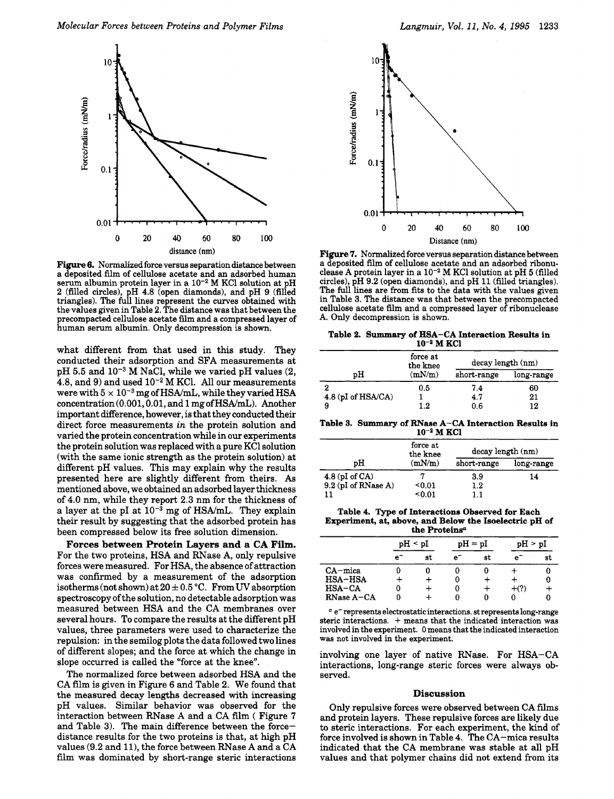

**Figure 6.** Normalized force versus separation distance between a deposited film of cellulose acetate and an adsorbed human serum albumin protein layer in a  $10^{-2}$  M KCl solution at pH 2 (filled circles), pH **4.8** (open diamonds), and pH 9 (filled triangles). The full lines represent the curves obtained with the values given in Table 2. The distance was that between the precompacted cellulose acetate film and a compressed layer of human serum albumin. Only decompression is shown.

what different from that used in this study. They conducted their adsorption and SFA measurements at pH 5.5 and  $10^{-3}$  M NaCl, while we varied pH values (2,  $4.8$ , and  $9$ ) and used  $10^{-2}$  M KCl. All our measurements were with  $5 \times 10^{-3}$  mg of HSA/mL, while they varied HSA **concentration(O.OOl,O.Ol,** and **1** mgofHSA/mL). Another important difference, however, is that they conducted their direct force measurements *in* the protein solution and varied the protein concentration while in our experiments the protein solution was replaced with a pure KC1 solution (with the same ionic strength as the protein solution) at different pH values. This may explain why the results presented here are slightly different from theirs. As mentioned above, we obtained an adsorbed layer thickness of **4.0** nm, while they report **2.3** nm for the thickness of a layer at the pI at  $10^{-3}$  mg of HSA/mL. They explain their result by suggesting that the adsorbed protein has been compressed below its free solution dimension.

**Forces between Protein Layers and a CA Film.**  For the two proteins, HSA and RNase A, only repulsive forces were measured. For HSA, the absence of attraction was confirmed by a measurement of the adsorption isotherms (not shown) at  $20 \pm 0.5$  °C. From UV absorption spectroscopy of the solution, no detectable adsorption was measured between HSA and the CA membranes over several hours. To compare the results at the different pH values, three parameters were used to characterize the repulsion: in the semilog plots the data followed two lines of different slopes; and the force at which the change in slope occurred is called the "force at the knee".

The normalized force between adsorbed HSA and the CA film is given in Figure 6 and Table **2.** We found that the measured decay lengths decreased with increasing pH values. Similar behavior was observed for the interaction between RNase A and a CA film ( Figure 7 and Table 3). The main difference between the forcedistance results for the two proteins is that, at high pH values **(9.2** and **ll),** the force between RNase A and a CA film was dominated by short-range steric interactions



Figure **7.** Normalized force versus separation distance between a deposited film of cellulose acetate and an adsorbed ribonuclease A protein layer in a  $10^{-2}$  M KCl solution at pH 5 (filled circles), pH 9.2 (open diamonds), and pH 11 (filled triangles). The full lines are from fits to the data with the values given<br>in Table 3. The distance was that between the precompacted<br>cellulose acetate film and a compressed layer of ribonuclease A. Only decompression is shown.

| Table 2. Summary of HSA-CA Interaction Results in |
|---------------------------------------------------|
| $10^{-2}$ M KCl                                   |

|                      | force at<br>the knee | decay length (nm) |            |  |
|----------------------|----------------------|-------------------|------------|--|
| pН                   | (mN/m)               | short-range       | long-range |  |
| 2                    | 0.5                  | 7.4               | 60         |  |
| $4.8$ (pI of HSA/CA) |                      | 4.7               | 21         |  |
| 9                    | 12                   | 0.6               | 12         |  |

**Table 3. Summary of RNase A-CA Interaction Results in**  10<sup>-2</sup> M KCl

|                     | force at<br>the knee | decay length (nm) |            |  |
|---------------------|----------------------|-------------------|------------|--|
| pН                  | (mN/m)               | short-range       | long-range |  |
| 4.8 (pI of $CA$ )   |                      | 3.9               | 14         |  |
| 9.2 (pI of RNase A) | < 0.01               | 1.2               |            |  |
| 11                  | < 0.01               | 11                |            |  |

**Table 4. Type of Interactions Observed for Each the Proteins"** 

| Experiment, at, above, and Below the Isoelectric pH of<br>the Proteins <sup>a</sup> |   |              |   |           |         |    |
|-------------------------------------------------------------------------------------|---|--------------|---|-----------|---------|----|
|                                                                                     |   | $pH \leq pI$ |   | $pH = pI$ | pH > pI |    |
|                                                                                     | е | st           | e | st        | e.      | st |
| $CA$ – mica                                                                         |   |              |   |           |         |    |
| <b>HSA-HSA</b>                                                                      |   |              |   |           |         |    |
| $HSA-CA$                                                                            | 0 |              |   |           | $+(?)$  |    |
| RNase A-CA                                                                          | n |              |   |           |         |    |

e- represents **electrostaticinteractions.** st represents long-range steric interactions. + means that the indicated interaction was involved in the experiment. 0 means that the indicated interaction was not involved in the experiment.

involving one layer of native RNase. For HSA-CA interactions, long-range steric forces were always observed.

## **Discussion**

Only repulsive forces were observed between CA films and protein layers. These repulsive forces are likely due to steric interactions. For each experiment, the kind of force involved is shown in Table **4.** The CA-mica results indicated that the CA membrane was stable at all pH values and that polymer chains did not extend from its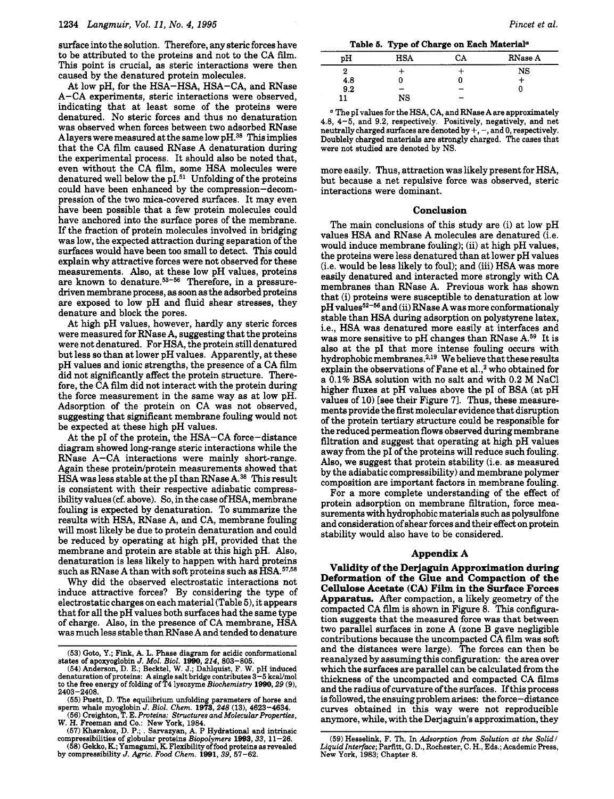surface into the solution. Therefore, any steric forces have to be attributed to the proteins and not to the CA film. **This** point is crucial, as steric interactions were then caused by the denatured protein molecules.

At low pH, for the HSA-HSA, HSA-CA, and RNase A-CA experiments, steric interactions were observed, indicating that at least some of the proteins were denatured. No steric forces and thus no denaturation was observed when forces between two adsorbed RNase Alayers were measured at the same low pH.38 **This** implies that the CA film caused RNase A denaturation during the experimental process. It should **also** be noted that, even without the CA film, some HSA molecules were denatured well below the  $pI.51$  Unfolding of the proteins could have been enhanced by the compression-decompression of the two mica-covered surfaces. It may even have been possible that a few protein molecules could have anchored into the surface pores of the membrane. If the fraction of protein molecules involved in bridging was low, the expected attraction during separation of the surfaces would have been too small to detect. This could explain why attractive forces were not observed for these measurements. Also, at these low pH values, proteins are known to denature.<sup>53-56</sup> Therefore, in a pressuredriven membrane process, **as** soon **as** the adsorbed proteins are exposed to low pH and fluid shear stresses, they denature and block the pores.

At high pH values, however, hardly any steric forces were measured for RNase A, suggesting that the proteins were not denatured. For HSA, the protein still denatured but less so than at lower pH values. Apparently, at these pH values and ionic strengths, the presence of a CA film did not significantly affect the protein structure. Therefore, the CA film did not interact with the protein during the force measurement in the same way as at low pH. Adsorption of the protein on CA was not observed, suggesting that significant membrane fouling would not be expected at these high pH values.

At the pI of the protein, the HSA-CA force-distance diagram showed long-range steric interactions while the RNase A-CA interactions were mainly short-range. Again these protein/protein measurements showed that HSA was less stable at the pI than RNase A. $^{38}$  This result is consistent with their respective adiabatic compressibility values (cf. above). So, in the case of HSA, membrane fouling is expected by denaturation. To summarize the results with HSA, RNase A, and CA, membrane fouling will most likely be due to protein denaturation and could be reduced by operating at high pH, provided that the membrane and protein are stable at this high pH. Also, denaturation is less likely to happen with hard proteins such as RNase A than with soft proteins such as HSA.<sup>57,58</sup>

Why did the observed electrostatic interactions not induce attractive forces? By considering the type of electrostatic charges on each material (Table *5),* it appears that for all the pH values both surfaces had the same type **of** charge. *fls0,* **in** the presence **of** CA membrane, **HSA** 

**Table 6. Type of Charge on Each Materiala** 

| <b>HSA</b> | СA | RNase A |
|------------|----|---------|
|            |    | NS      |
|            |    |         |
|            | -  |         |
| NS         | -  |         |
|            |    |         |

*<sup>a</sup>*The PI values for the HSA, CA, and RNase A are approximately **4.8, 4-5,** and **9.2,** respectively. Positively, negatively, and net neutrally charged surfaces are denoted by  $+$ ,  $-$ , and 0, respectively. Doublely charged materials are strongly charged. The cases that were not studied are denoted by NS.

more easily. Thus, attraction was likely present for HSA, but because a net repulsive force was observed, steric interactions were dominant.

#### **Conclusion**

The main conclusions of this study are (i) at low pH values HSA and RNase A molecules are denatured (i.e. would induce membrane fouling); (ii) at high pH values, the proteins were less denatured than at lower pH values (i.e. would be less likely to foul); and (iii) HSA was more easily denatured and interacted more strongly with CA membranes than RNase A. Previous work has shown that (i) proteins were susceptible to denaturation at low pH values<sup>52-56</sup> and (ii) RNase A was more conformationaly stable than HSA during adsorption on polystyrene latex, i.e., HSA was denatured more easily at interfaces and was more sensitive to pH changes than RNase A.59 It is **also** at the PI that more intense fouling occurs with hydrophobic membranes.<sup>2,19</sup> We believe that these results explain the observations of Fane et **al.,2** who obtained for a 0.1% BSA solution with no salt and with **0.2** M NaCl higher fluxes at pH values above the pI of BSA (at pH values of 10) [see their Figure **71.** Thus, these measurements provide the first molecular evidence that disruption of the protein tertiary structure could be responsible for the reduced permeation flows observed during membrane filtration and suggest that operating at high pH values away from the pI of the proteins will reduce such fouling. *Also,* we suggest that protein stability (i.e. as measured by the adiabatic compressibility) and membrane polymer composition are important factors in membrane fouling.

For a more complete understanding of the effect of protein adsorption on membrane filtration, force measurements with hydrophobic materials such **as** polysulfone and consideration of shear forces and their effect on protein stability would **also** have to be considered. *I* **I-**

## **Appendix A**

**Validity of the Derjaguin Approximation during Deformation of the Glue and Compaction of the Film in the Surface Forces Acetate**  Apparatus. After compaction, a likely geometry of the compacted CA film is shown in Figure 8. This configuration suggests that the measured force was that between contributions because the uncompacted CA film was sofi two parallel surfaces in zone A (zone B gave negligible and the distances were large). The forces can then be reanalyzed by assuming this configuration: the area over which the surfaces are parallel can be calculated from the thickness of the uncompacted and compacted CA films and the radius of curvature of the surfaces. If this process is followed, the ensuing problem arises: the force-distance curves obtained in this way were not reproducible anymore, while, with the Derjaguin's approximation, they

**<sup>(53)</sup>** Goto, Y.; Fink, A. L. Phase diagram for acidic conformational states of apoxyoglobin *J.* Mol. *Biol. 1990,214,* **803-805.** 

**<sup>(54)</sup>** Anderson, **D.** E.; Becktel, W. J.; Dahlquist, F. W. pH induced denaturation of proteins: A single salt bridge contributes 3-5 kcal/mol to the free energy of folding of **T4** lysozyme *Biochemistry 1990,29* **(9), 2403-2408.** 

**<sup>(55)</sup>** Puett, **D.** The equilibrium unfolding parameters of horse and sperm whale myoglobin *J. Biol. Chem. 1973,248* **(13), 4623-4634.** 

**<sup>(56)</sup>** Creighton, **T.** E. *Proteins: Structures and Molecular Properties,* 

*W. H. Freeman and Co.: New York, 1984.*<br>
(57) *Kharakoz, D. P.; . Sarvazyan, A. P Hydrational and intrinsic compressibilities of globular proteins <i>Biopolymers* **1993**, *33*, **11**-26.

**<sup>(58)</sup> Gekko,** K;Yamagami, **K.** Flexibility offood proteins as revealed by compressibility J. *Agric. Food Chem. 1991,39,* **57-62.** 

<sup>(59)</sup> Hesselink, F. Th. In *Adsorption from Solution at the Solid*/ Liquid Interface; Parfitt, G. D., Rochester, C. H., Eds.; Academic Press, New York, **1983;** Chapter **8.**